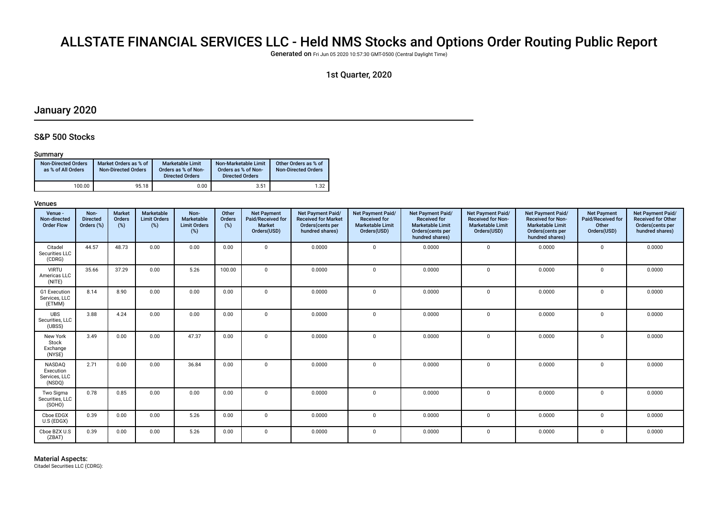# ALLSTATE FINANCIAL SERVICES LLC - Held NMS Stocks and Options Order Routing Public Report

Generated on Fri Jun 05 2020 10:57:30 GMT-0500 (Central Daylight Time)

### 1st Quarter, 2020

# January 2020

### S&P 500 Stocks

#### Summary

| <b>Non-Directed Orders</b><br>as % of All Orders | Market Orders as % of<br><b>Non-Directed Orders</b> | Marketable Limit<br>Orders as % of Non-<br><b>Directed Orders</b> | Non-Marketable Limit<br>Orders as % of Non-<br><b>Directed Orders</b> | Other Orders as % of<br><b>Non-Directed Orders</b> |
|--------------------------------------------------|-----------------------------------------------------|-------------------------------------------------------------------|-----------------------------------------------------------------------|----------------------------------------------------|
| 100.00                                           | 95.18                                               | 0.00                                                              | 3.51                                                                  | 1.32                                               |

#### Venues

| Venue -<br>Non-directed<br><b>Order Flow</b>   | Non-<br><b>Directed</b><br>Orders (%) | <b>Market</b><br>Orders<br>(%) | Marketable<br><b>Limit Orders</b><br>(%) | Non-<br><b>Marketable</b><br><b>Limit Orders</b><br>(%) | Other<br><b>Orders</b><br>(%) | <b>Net Payment</b><br>Paid/Received for<br>Market<br>Orders(USD) | <b>Net Payment Paid/</b><br><b>Received for Market</b><br>Orders(cents per<br>hundred shares) | Net Payment Paid/<br><b>Received for</b><br><b>Marketable Limit</b><br>Orders(USD) | Net Payment Paid/<br><b>Received for</b><br><b>Marketable Limit</b><br>Orders(cents per<br>hundred shares) | Net Payment Paid/<br><b>Received for Non-</b><br><b>Marketable Limit</b><br>Orders(USD) | <b>Net Payment Paid/</b><br><b>Received for Non-</b><br><b>Marketable Limit</b><br>Orders(cents per<br>hundred shares) | <b>Net Payment</b><br>Paid/Received for<br>Other<br>Orders(USD) | Net Payment Paid/<br><b>Received for Other</b><br>Orders(cents per<br>hundred shares) |
|------------------------------------------------|---------------------------------------|--------------------------------|------------------------------------------|---------------------------------------------------------|-------------------------------|------------------------------------------------------------------|-----------------------------------------------------------------------------------------------|------------------------------------------------------------------------------------|------------------------------------------------------------------------------------------------------------|-----------------------------------------------------------------------------------------|------------------------------------------------------------------------------------------------------------------------|-----------------------------------------------------------------|---------------------------------------------------------------------------------------|
| Citadel<br>Securities LLC<br>(CDRG)            | 44.57                                 | 48.73                          | 0.00                                     | 0.00                                                    | 0.00                          | $\mathbf{0}$                                                     | 0.0000                                                                                        | $\mathbf 0$                                                                        | 0.0000                                                                                                     | $\overline{0}$                                                                          | 0.0000                                                                                                                 | $\mathbf 0$                                                     | 0.0000                                                                                |
| <b>VIRTU</b><br>Americas LLC<br>(NITE)         | 35.66                                 | 37.29                          | 0.00                                     | 5.26                                                    | 100.00                        | $\mathbf{0}$                                                     | 0.0000                                                                                        | $\Omega$                                                                           | 0.0000                                                                                                     | $\mathbf{0}$                                                                            | 0.0000                                                                                                                 | $\mathbf 0$                                                     | 0.0000                                                                                |
| G1 Execution<br>Services, LLC<br>(ETMM)        | 8.14                                  | 8.90                           | 0.00                                     | 0.00                                                    | 0.00                          | $\mathbf{0}$                                                     | 0.0000                                                                                        | $\Omega$                                                                           | 0.0000                                                                                                     | $\Omega$                                                                                | 0.0000                                                                                                                 | $\Omega$                                                        | 0.0000                                                                                |
| <b>UBS</b><br>Securities, LLC<br>(UBSS)        | 3.88                                  | 4.24                           | 0.00                                     | 0.00                                                    | 0.00                          | $\mathbf 0$                                                      | 0.0000                                                                                        | $\mathbf 0$                                                                        | 0.0000                                                                                                     | $\overline{0}$                                                                          | 0.0000                                                                                                                 | $\mathbf 0$                                                     | 0.0000                                                                                |
| New York<br>Stock<br>Exchange<br>(NYSE)        | 3.49                                  | 0.00                           | 0.00                                     | 47.37                                                   | 0.00                          | $\mathbf 0$                                                      | 0.0000                                                                                        | $\Omega$                                                                           | 0.0000                                                                                                     | $\mathbf{0}$                                                                            | 0.0000                                                                                                                 | $\Omega$                                                        | 0.0000                                                                                |
| NASDAQ<br>Execution<br>Services, LLC<br>(NSDQ) | 2.71                                  | 0.00                           | 0.00                                     | 36.84                                                   | 0.00                          | $\mathbf{0}$                                                     | 0.0000                                                                                        | $\Omega$                                                                           | 0.0000                                                                                                     | $\mathbf{0}$                                                                            | 0.0000                                                                                                                 | $\mathbf 0$                                                     | 0.0000                                                                                |
| Two Sigma<br>Securities, LLC<br>(SOHO)         | 0.78                                  | 0.85                           | 0.00                                     | 0.00                                                    | 0.00                          | $\mathbf{0}$                                                     | 0.0000                                                                                        | $\Omega$                                                                           | 0.0000                                                                                                     | $\mathbf{0}$                                                                            | 0.0000                                                                                                                 | $\mathbf 0$                                                     | 0.0000                                                                                |
| Cboe EDGX<br>U.S (EDGX)                        | 0.39                                  | 0.00                           | 0.00                                     | 5.26                                                    | 0.00                          | $\mathbf 0$                                                      | 0.0000                                                                                        | $\Omega$                                                                           | 0.0000                                                                                                     | $\mathbf{0}$                                                                            | 0.0000                                                                                                                 | $\Omega$                                                        | 0.0000                                                                                |
| Cboe BZX U.S<br>(ZBAT)                         | 0.39                                  | 0.00                           | 0.00                                     | 5.26                                                    | 0.00                          | $\mathbf 0$                                                      | 0.0000                                                                                        | $\Omega$                                                                           | 0.0000                                                                                                     | $\mathbf{0}$                                                                            | 0.0000                                                                                                                 | $\Omega$                                                        | 0.0000                                                                                |

Material Aspects: Citadel Securities LLC (CDRG):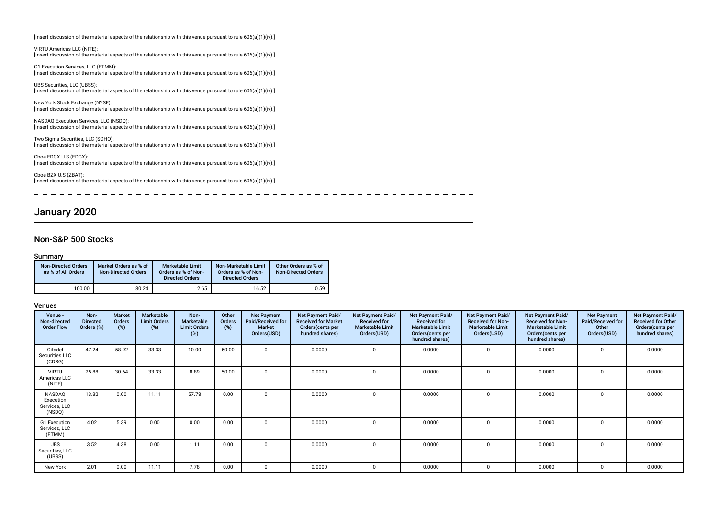|  | [Insert discussion of the material aspects of the relationship with this venue pursuant to rule $606(a)(1)(iv).$ ] |  |  |  |  |
|--|--------------------------------------------------------------------------------------------------------------------|--|--|--|--|
|--|--------------------------------------------------------------------------------------------------------------------|--|--|--|--|

VIRTU Americas LLC (NITE): [Insert discussion of the material aspects of the relationship with this venue pursuant to rule 606(a)(1)(iv).]

G1 Execution Services, LLC (ETMM): [Insert discussion of the material aspects of the relationship with this venue pursuant to rule 606(a)(1)(iv).]

UBS Securities, LLC (UBSS): [Insert discussion of the material aspects of the relationship with this venue pursuant to rule 606(a)(1)(iv).]

New York Stock Exchange (NYSE): [Insert discussion of the material aspects of the relationship with this venue pursuant to rule 606(a)(1)(iv).]

NASDAQ Execution Services, LLC (NSDQ): [Insert discussion of the material aspects of the relationship with this venue pursuant to rule 606(a)(1)(iv).]

Two Sigma Securities, LLC (SOHO): [Insert discussion of the material aspects of the relationship with this venue pursuant to rule 606(a)(1)(iv).]

Cboe EDGX U.S (EDGX): [Insert discussion of the material aspects of the relationship with this venue pursuant to rule 606(a)(1)(iv).]

Cboe BZX U.S (ZBAT): [Insert discussion of the material aspects of the relationship with this venue pursuant to rule 606(a)(1)(iv).]

 $\overline{\phantom{a}}$ ------------------- - - - - - -- - - - - -

# January 2020

### Non-S&P 500 Stocks

#### Summary

| <b>Non-Directed Orders</b><br>as % of All Orders | Market Orders as % of<br><b>Non-Directed Orders</b> | <b>Marketable Limit</b><br>Orders as % of Non-<br><b>Directed Orders</b> | Non-Marketable Limit<br>Orders as % of Non-<br><b>Directed Orders</b> | Other Orders as % of<br><b>Non-Directed Orders</b> |
|--------------------------------------------------|-----------------------------------------------------|--------------------------------------------------------------------------|-----------------------------------------------------------------------|----------------------------------------------------|
| 100.00                                           | 80.24                                               | 2.65                                                                     | 16.52                                                                 | 0.59                                               |

| Venue -<br>Non-directed<br><b>Order Flow</b>   | Non-<br><b>Directed</b><br>Orders (%) | <b>Market</b><br><b>Orders</b><br>(%) | Marketable<br><b>Limit Orders</b><br>(%) | Non-<br>Marketable<br><b>Limit Orders</b><br>$(\%)$ | Other<br>Orders<br>(%) | <b>Net Payment</b><br>Paid/Received for<br><b>Market</b><br>Orders(USD) | Net Payment Paid/<br><b>Received for Market</b><br>Orders(cents per<br>hundred shares) | Net Payment Paid/<br><b>Received for</b><br><b>Marketable Limit</b><br>Orders(USD) | Net Payment Paid/<br><b>Received for</b><br><b>Marketable Limit</b><br>Orders(cents per<br>hundred shares) | Net Payment Paid/<br><b>Received for Non-</b><br><b>Marketable Limit</b><br>Orders(USD) | Net Payment Paid/<br><b>Received for Non-</b><br><b>Marketable Limit</b><br>Orders (cents per<br>hundred shares) | <b>Net Payment</b><br>Paid/Received for<br>Other<br>Orders(USD) | Net Payment Paid/<br><b>Received for Other</b><br>Orders(cents per<br>hundred shares) |
|------------------------------------------------|---------------------------------------|---------------------------------------|------------------------------------------|-----------------------------------------------------|------------------------|-------------------------------------------------------------------------|----------------------------------------------------------------------------------------|------------------------------------------------------------------------------------|------------------------------------------------------------------------------------------------------------|-----------------------------------------------------------------------------------------|------------------------------------------------------------------------------------------------------------------|-----------------------------------------------------------------|---------------------------------------------------------------------------------------|
| Citadel<br>Securities LLC<br>(CDRG)            | 47.24                                 | 58.92                                 | 33.33                                    | 10.00                                               | 50.00                  | $\Omega$                                                                | 0.0000                                                                                 | $\Omega$                                                                           | 0.0000                                                                                                     |                                                                                         | 0.0000                                                                                                           |                                                                 | 0.0000                                                                                |
| <b>VIRTU</b><br>Americas LLC<br>(NITE)         | 25.88                                 | 30.64                                 | 33.33                                    | 8.89                                                | 50.00                  | $\Omega$                                                                | 0.0000                                                                                 | <sup>n</sup>                                                                       | 0.0000                                                                                                     | n                                                                                       | 0.0000                                                                                                           |                                                                 | 0.0000                                                                                |
| NASDAQ<br>Execution<br>Services, LLC<br>(NSDQ) | 13.32                                 | 0.00                                  | 11.11                                    | 57.78                                               | 0.00                   | $\Omega$                                                                | 0.0000                                                                                 | $\Omega$                                                                           | 0.0000                                                                                                     | $\Omega$                                                                                | 0.0000                                                                                                           |                                                                 | 0.0000                                                                                |
| G1 Execution<br>Services, LLC<br>(ETMM)        | 4.02                                  | 5.39                                  | 0.00                                     | 0.00                                                | 0.00                   | $\Omega$                                                                | 0.0000                                                                                 | $\Omega$                                                                           | 0.0000                                                                                                     | $\Omega$                                                                                | 0.0000                                                                                                           | $\mathbf 0$                                                     | 0.0000                                                                                |
| <b>UBS</b><br>Securities, LLC<br>(UBSS)        | 3.52                                  | 4.38                                  | 0.00                                     | 1.11                                                | 0.00                   | $\Omega$                                                                | 0.0000                                                                                 | $\Omega$                                                                           | 0.0000                                                                                                     |                                                                                         | 0.0000                                                                                                           | $\Omega$                                                        | 0.0000                                                                                |
| New York                                       | 2.01                                  | 0.00                                  | 11.11                                    | 7.78                                                | 0.00                   | $\Omega$                                                                | 0.0000                                                                                 | $\Omega$                                                                           | 0.0000                                                                                                     | n                                                                                       | 0.0000                                                                                                           |                                                                 | 0.0000                                                                                |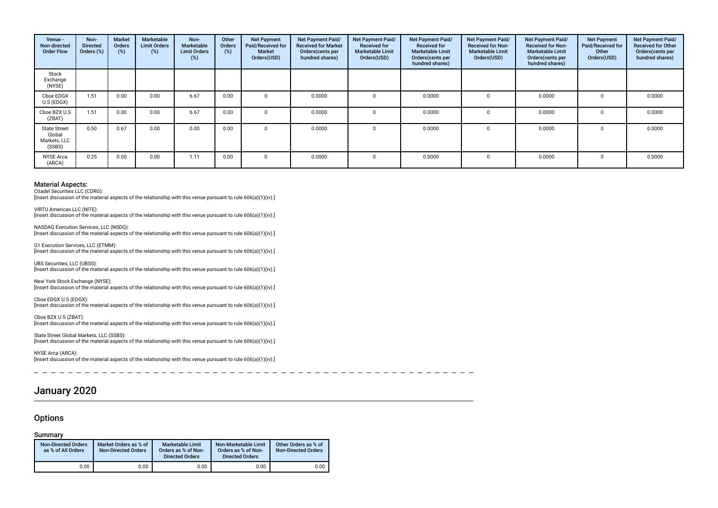| Venue -<br>Non-directed<br><b>Order Flow</b>            | Non-<br><b>Directed</b><br>Orders (%) | <b>Market</b><br><b>Orders</b><br>$(\%)$ | Marketable<br><b>Limit Orders</b><br>(%) | Non-<br>Marketable<br><b>Limit Orders</b><br>(%) | Other<br><b>Orders</b><br>(%) | <b>Net Payment</b><br>Paid/Received for<br><b>Market</b><br>Orders(USD) | Net Payment Paid/<br><b>Received for Market</b><br>Orders(cents per<br>hundred shares) | Net Payment Paid/<br><b>Received for</b><br><b>Marketable Limit</b><br>Orders(USD) | Net Payment Paid/<br><b>Received for</b><br><b>Marketable Limit</b><br>Orders(cents per<br>hundred shares) | Net Payment Paid/<br><b>Received for Non-</b><br><b>Marketable Limit</b><br>Orders(USD) | <b>Net Payment Paid/</b><br><b>Received for Non-</b><br><b>Marketable Limit</b><br>Orders (cents per<br>hundred shares) | <b>Net Payment</b><br>Paid/Received for<br>Other<br>Orders(USD) | Net Payment Paid/<br><b>Received for Other</b><br>Orders(cents per<br>hundred shares) |
|---------------------------------------------------------|---------------------------------------|------------------------------------------|------------------------------------------|--------------------------------------------------|-------------------------------|-------------------------------------------------------------------------|----------------------------------------------------------------------------------------|------------------------------------------------------------------------------------|------------------------------------------------------------------------------------------------------------|-----------------------------------------------------------------------------------------|-------------------------------------------------------------------------------------------------------------------------|-----------------------------------------------------------------|---------------------------------------------------------------------------------------|
| Stock<br>Exchange<br>(NYSE)                             |                                       |                                          |                                          |                                                  |                               |                                                                         |                                                                                        |                                                                                    |                                                                                                            |                                                                                         |                                                                                                                         |                                                                 |                                                                                       |
| Cboe EDGX<br>U.S (EDGX)                                 | 1.51                                  | 0.00                                     | 0.00                                     | 6.67                                             | 0.00                          |                                                                         | 0.0000                                                                                 |                                                                                    | 0.0000                                                                                                     |                                                                                         | 0.0000                                                                                                                  | $\Omega$                                                        | 0.0000                                                                                |
| Cboe BZX U.S<br>(ZBAT)                                  | 1.51                                  | 0.00                                     | 0.00                                     | 6.67                                             | 0.00                          |                                                                         | 0.0000                                                                                 |                                                                                    | 0.0000                                                                                                     |                                                                                         | 0.0000                                                                                                                  |                                                                 | 0.0000                                                                                |
| <b>State Street</b><br>Global<br>Markets, LLC<br>(SSBS) | 0.50                                  | 0.67                                     | 0.00                                     | 0.00                                             | 0.00                          | $\Omega$                                                                | 0.0000                                                                                 |                                                                                    | 0.0000                                                                                                     | $\Omega$                                                                                | 0.0000                                                                                                                  | $\Omega$                                                        | 0.0000                                                                                |
| <b>NYSE Arca</b><br>(ARCA)                              | 0.25                                  | 0.00                                     | 0.00                                     | 1.11                                             | 0.00                          | $\Omega$                                                                | 0.0000                                                                                 |                                                                                    | 0.0000                                                                                                     | $\Omega$                                                                                | 0.0000                                                                                                                  | $\Omega$                                                        | 0.0000                                                                                |

Citadel Securities LLC (CDRG):

G1 Execution Services, LLC (ETMM):

[Insert discussion of the material aspects of the relationship with this venue pursuant to rule 606(a)(1)(iv).]

VIRTU Americas LLC (NITE): [Insert discussion of the material aspects of the relationship with this venue pursuant to rule 606(a)(1)(iv).]

NASDAQ Execution Services, LLC (NSDQ): [Insert discussion of the material aspects of the relationship with this venue pursuant to rule 606(a)(1)(iv).]

[Insert discussion of the material aspects of the relationship with this venue pursuant to rule 606(a)(1)(iv).] UBS Securities, LLC (UBSS): [Insert discussion of the material aspects of the relationship with this venue pursuant to rule 606(a)(1)(iv).]

New York Stock Exchange (NYSE): [Insert discussion of the material aspects of the relationship with this venue pursuant to rule 606(a)(1)(iv).]

Cboe EDGX U.S (EDGX): Insert discussion of the material aspects of the relationship with this venue pursuant to rule 606(a)(1)(iv).]

Cboe BZX U.S (ZBAT): [Insert discussion of the material aspects of the relationship with this venue pursuant to rule 606(a)(1)(iv).]

State Street Global Markets, LLC (SSBS): [Insert discussion of the material aspects of the relationship with this venue pursuant to rule 606(a)(1)(iv).]

NYSE Arca (ARCA): [Insert discussion of the material aspects of the relationship with this venue pursuant to rule 606(a)(1)(iv).]

# January 2020

### **Options**

Summary

| <b>Non-Directed Orders</b><br>as % of All Orders | Market Orders as % of<br><b>Non-Directed Orders</b> | <b>Marketable Limit</b><br>Orders as % of Non-<br><b>Directed Orders</b> | Non-Marketable Limit<br>Orders as % of Non-<br><b>Directed Orders</b> | Other Orders as % of<br>Non-Directed Orders |
|--------------------------------------------------|-----------------------------------------------------|--------------------------------------------------------------------------|-----------------------------------------------------------------------|---------------------------------------------|
| 0.00                                             | 0.00                                                | 0.00                                                                     | 0.00                                                                  | 0.00                                        |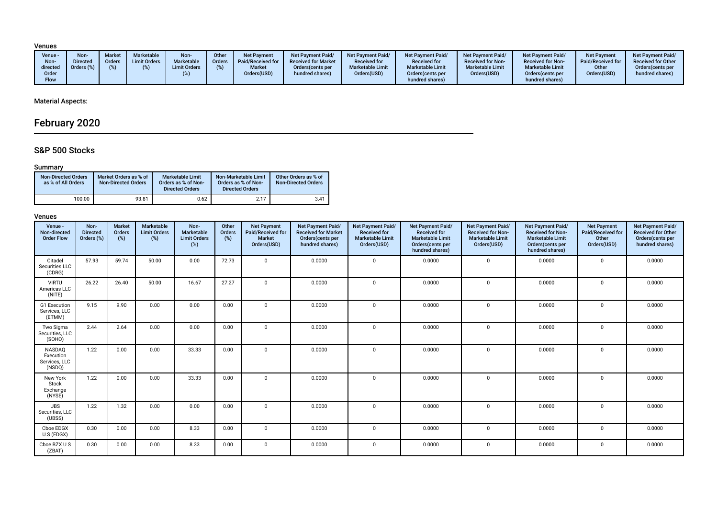Venues

| Venue -<br>Non-<br>directed<br>Order<br><b>Flow</b> | <b>Non-</b><br><b>Market</b><br><b>Directed</b><br><b>Orders</b><br>Orders (%)<br>(9) | Marketable<br><b>Limit Orders</b> | Non-<br>Marketable<br><b>Limit Orders</b> | Other<br>Orders | <b>Net Pavment</b><br>Paid/Received for<br><b>Market</b><br>Orders(USD) | <b>Net Payment Paid/</b><br><b>Received for Market</b><br>Orders (cents per<br>hundred shares) | Net Payment Paid/<br><b>Received for</b><br><b>Marketable Limit</b><br>Orders(USD) | <b>Net Payment Paid/</b><br><b>Received for</b><br><b>Marketable Limit</b><br>Orders (cents per<br>hundred shares) | <b>Net Payment Paid/</b><br><b>Received for Non-</b><br><b>Marketable Limit</b><br>Orders(USD) | <b>Net Payment Paid/</b><br><b>Received for Non-</b><br><b>Marketable Limit</b><br>Orders(cents per<br>hundred shares) | <b>Net Payment</b><br>Paid/Received for<br>Other<br>Orders(USD) | Net Payment Paid/<br><b>Received for Other</b><br>Orders(cents per<br>hundred shares) |
|-----------------------------------------------------|---------------------------------------------------------------------------------------|-----------------------------------|-------------------------------------------|-----------------|-------------------------------------------------------------------------|------------------------------------------------------------------------------------------------|------------------------------------------------------------------------------------|--------------------------------------------------------------------------------------------------------------------|------------------------------------------------------------------------------------------------|------------------------------------------------------------------------------------------------------------------------|-----------------------------------------------------------------|---------------------------------------------------------------------------------------|
|-----------------------------------------------------|---------------------------------------------------------------------------------------|-----------------------------------|-------------------------------------------|-----------------|-------------------------------------------------------------------------|------------------------------------------------------------------------------------------------|------------------------------------------------------------------------------------|--------------------------------------------------------------------------------------------------------------------|------------------------------------------------------------------------------------------------|------------------------------------------------------------------------------------------------------------------------|-----------------------------------------------------------------|---------------------------------------------------------------------------------------|

# Material Aspects:

# February 2020

# S&P 500 Stocks

### Summary

| <b>Non-Directed Orders</b><br>as % of All Orders | Market Orders as % of<br><b>Non-Directed Orders</b> | <b>Marketable Limit</b><br>Orders as % of Non-<br><b>Directed Orders</b> | Non-Marketable Limit<br>Orders as % of Non-<br><b>Directed Orders</b> | Other Orders as % of<br><b>Non-Directed Orders</b> |
|--------------------------------------------------|-----------------------------------------------------|--------------------------------------------------------------------------|-----------------------------------------------------------------------|----------------------------------------------------|
| 100.00                                           | 93.81                                               | 0.62                                                                     | 2.17                                                                  | 3.41                                               |

| Venue -<br>Non-directed<br><b>Order Flow</b>          | Non-<br><b>Directed</b><br>Orders (%) | <b>Market</b><br>Orders<br>(%) | <b>Marketable</b><br><b>Limit Orders</b><br>(%) | Non-<br>Marketable<br><b>Limit Orders</b><br>$(\%)$ | Other<br>Orders<br>(%) | <b>Net Payment</b><br>Paid/Received for<br>Market<br>Orders(USD) | Net Payment Paid/<br><b>Received for Market</b><br>Orders(cents per<br>hundred shares) | Net Payment Paid/<br><b>Received for</b><br><b>Marketable Limit</b><br>Orders(USD) | Net Payment Paid/<br><b>Received for</b><br><b>Marketable Limit</b><br>Orders(cents per<br>hundred shares) | Net Payment Paid/<br><b>Received for Non-</b><br><b>Marketable Limit</b><br>Orders(USD) | Net Payment Paid/<br><b>Received for Non-</b><br><b>Marketable Limit</b><br>Orders(cents per<br>hundred shares) | <b>Net Payment</b><br>Paid/Received for<br>Other<br>Orders(USD) | Net Payment Paid/<br><b>Received for Other</b><br>Orders(cents per<br>hundred shares) |
|-------------------------------------------------------|---------------------------------------|--------------------------------|-------------------------------------------------|-----------------------------------------------------|------------------------|------------------------------------------------------------------|----------------------------------------------------------------------------------------|------------------------------------------------------------------------------------|------------------------------------------------------------------------------------------------------------|-----------------------------------------------------------------------------------------|-----------------------------------------------------------------------------------------------------------------|-----------------------------------------------------------------|---------------------------------------------------------------------------------------|
| Citadel<br>Securities LLC<br>(CDRG)                   | 57.93                                 | 59.74                          | 50.00                                           | 0.00                                                | 72.73                  | $\mathbf{0}$                                                     | 0.0000                                                                                 | $\Omega$                                                                           | 0.0000                                                                                                     | $\mathbf 0$                                                                             | 0.0000                                                                                                          | 0                                                               | 0.0000                                                                                |
| <b>VIRTU</b><br>Americas LLC<br>(NITE)                | 26.22                                 | 26.40                          | 50.00                                           | 16.67                                               | 27.27                  | $\mathbf{0}$                                                     | 0.0000                                                                                 | $\mathbf 0$                                                                        | 0.0000                                                                                                     | $\mathbf 0$                                                                             | 0.0000                                                                                                          | $\mathbf{0}$                                                    | 0.0000                                                                                |
| G1 Execution<br>Services, LLC<br>(ETMM)               | 9.15                                  | 9.90                           | 0.00                                            | 0.00                                                | 0.00                   | $\mathbf 0$                                                      | 0.0000                                                                                 | $\Omega$                                                                           | 0.0000                                                                                                     | $\mathbf{0}$                                                                            | 0.0000                                                                                                          | $\mathbf{0}$                                                    | 0.0000                                                                                |
| Two Sigma<br>Securities, LLC<br>(SOHO)                | 2.44                                  | 2.64                           | 0.00                                            | 0.00                                                | 0.00                   | $\mathbf{0}$                                                     | 0.0000                                                                                 | $\mathbf 0$                                                                        | 0.0000                                                                                                     | $\mathbf 0$                                                                             | 0.0000                                                                                                          | 0                                                               | 0.0000                                                                                |
| <b>NASDAQ</b><br>Execution<br>Services, LLC<br>(NSDQ) | 1.22                                  | 0.00                           | 0.00                                            | 33.33                                               | 0.00                   | $\mathbf 0$                                                      | 0.0000                                                                                 | $\Omega$                                                                           | 0.0000                                                                                                     | $\mathbf 0$                                                                             | 0.0000                                                                                                          | 0                                                               | 0.0000                                                                                |
| New York<br>Stock<br>Exchange<br>(NYSE)               | 1.22                                  | 0.00                           | 0.00                                            | 33.33                                               | 0.00                   | $\mathbf 0$                                                      | 0.0000                                                                                 | $\mathbf 0$                                                                        | 0.0000                                                                                                     | $\mathbf 0$                                                                             | 0.0000                                                                                                          | $\mathbf{0}$                                                    | 0.0000                                                                                |
| <b>UBS</b><br>Securities, LLC<br>(UBSS)               | 1.22                                  | 1.32                           | 0.00                                            | 0.00                                                | 0.00                   | $\Omega$                                                         | 0.0000                                                                                 | $\Omega$                                                                           | 0.0000                                                                                                     | $\Omega$                                                                                | 0.0000                                                                                                          | $\mathbf{0}$                                                    | 0.0000                                                                                |
| Cboe EDGX<br>U.S (EDGX)                               | 0.30                                  | 0.00                           | 0.00                                            | 8.33                                                | 0.00                   | $\mathbf 0$                                                      | 0.0000                                                                                 | $\mathbf 0$                                                                        | 0.0000                                                                                                     | $\mathbf 0$                                                                             | 0.0000                                                                                                          | 0                                                               | 0.0000                                                                                |
| Cboe BZX U.S<br>(ZBAT)                                | 0.30                                  | 0.00                           | 0.00                                            | 8.33                                                | 0.00                   | $\mathbf 0$                                                      | 0.0000                                                                                 | $\Omega$                                                                           | 0.0000                                                                                                     | $\mathbf{0}$                                                                            | 0.0000                                                                                                          | 0                                                               | 0.0000                                                                                |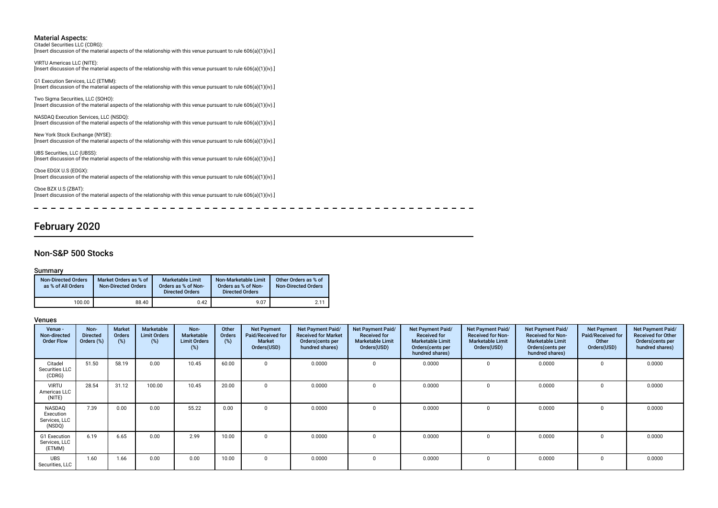Citadel Securities LLC (CDRG): [Insert discussion of the material aspects of the relationship with this venue pursuant to rule 606(a)(1)(iv).]

VIRTU Americas LLC (NITE): [Insert discussion of the material aspects of the relationship with this venue pursuant to rule 606(a)(1)(iv).]

G1 Execution Services, LLC (ETMM): [Insert discussion of the material aspects of the relationship with this venue pursuant to rule 606(a)(1)(iv).]

Two Sigma Securities, LLC (SOHO): [Insert discussion of the material aspects of the relationship with this venue pursuant to rule 606(a)(1)(iv).]

NASDAQ Execution Services, LLC (NSDQ): [Insert discussion of the material aspects of the relationship with this venue pursuant to rule 606(a)(1)(iv).]

New York Stock Exchange (NYSE): [Insert discussion of the material aspects of the relationship with this venue pursuant to rule 606(a)(1)(iv).]

UBS Securities, LLC (UBSS): [Insert discussion of the material aspects of the relationship with this venue pursuant to rule 606(a)(1)(iv).]

Cboe EDGX U.S (EDGX): [Insert discussion of the material aspects of the relationship with this venue pursuant to rule 606(a)(1)(iv).]

Cboe BZX U.S (ZBAT): [Insert discussion of the material aspects of the relationship with this venue pursuant to rule 606(a)(1)(iv).]

 $\frac{1}{2}$ 

----------

# February 2020

#### Non-S&P 500 Stocks

#### Summary

| <b>Non-Directed Orders</b><br>as % of All Orders | Market Orders as % of<br><b>Non-Directed Orders</b> | <b>Marketable Limit</b><br>Orders as % of Non-<br><b>Directed Orders</b> | Non-Marketable Limit<br>Orders as % of Non-<br><b>Directed Orders</b> | Other Orders as % of<br><b>Non-Directed Orders</b> |
|--------------------------------------------------|-----------------------------------------------------|--------------------------------------------------------------------------|-----------------------------------------------------------------------|----------------------------------------------------|
| 100.00                                           | 88.40                                               | 0.42                                                                     | 9.07                                                                  | 2.11                                               |

| Venue -<br>Non-directed<br><b>Order Flow</b>   | Non-<br><b>Directed</b><br>Orders (%) | <b>Market</b><br>Orders<br>$(\%)$ | Marketable<br><b>Limit Orders</b><br>(%) | Non-<br>Marketable<br><b>Limit Orders</b><br>(%) | Other<br><b>Orders</b><br>(%) | <b>Net Payment</b><br>Paid/Received for<br>Market<br>Orders(USD) | <b>Net Payment Paid/</b><br><b>Received for Market</b><br>Orders (cents per<br>hundred shares) | Net Payment Paid/<br><b>Received for</b><br><b>Marketable Limit</b><br>Orders(USD) | Net Payment Paid/<br><b>Received for</b><br><b>Marketable Limit</b><br>Orders(cents per<br>hundred shares) | Net Payment Paid/<br><b>Received for Non-</b><br><b>Marketable Limit</b><br>Orders(USD) | Net Payment Paid/<br><b>Received for Non-</b><br><b>Marketable Limit</b><br>Orders (cents per<br>hundred shares) | <b>Net Payment</b><br>Paid/Received for<br>Other<br>Orders(USD) | Net Payment Paid/<br><b>Received for Other</b><br>Orders(cents per<br>hundred shares) |
|------------------------------------------------|---------------------------------------|-----------------------------------|------------------------------------------|--------------------------------------------------|-------------------------------|------------------------------------------------------------------|------------------------------------------------------------------------------------------------|------------------------------------------------------------------------------------|------------------------------------------------------------------------------------------------------------|-----------------------------------------------------------------------------------------|------------------------------------------------------------------------------------------------------------------|-----------------------------------------------------------------|---------------------------------------------------------------------------------------|
| Citadel<br>Securities LLC<br>(CDRG)            | 51.50                                 | 58.19                             | 0.00                                     | 10.45                                            | 60.00                         | $\Omega$                                                         | 0.0000                                                                                         |                                                                                    | 0.0000                                                                                                     |                                                                                         | 0.0000                                                                                                           |                                                                 | 0.0000                                                                                |
| <b>VIRTU</b><br>Americas LLC<br>(NITE)         | 28.54                                 | 31.12                             | 100.00                                   | 10.45                                            | 20.00                         | $\mathbf 0$                                                      | 0.0000                                                                                         |                                                                                    | 0.0000                                                                                                     |                                                                                         | 0.0000                                                                                                           |                                                                 | 0.0000                                                                                |
| NASDAQ<br>Execution<br>Services, LLC<br>(NSDQ) | 7.39                                  | 0.00                              | 0.00                                     | 55.22                                            | 0.00                          | $\Omega$                                                         | 0.0000                                                                                         |                                                                                    | 0.0000                                                                                                     |                                                                                         | 0.0000                                                                                                           |                                                                 | 0.0000                                                                                |
| G1 Execution<br>Services, LLC<br>(ETMM)        | 6.19                                  | 6.65                              | 0.00                                     | 2.99                                             | 10.00                         | 0                                                                | 0.0000                                                                                         |                                                                                    | 0.0000                                                                                                     |                                                                                         | 0.0000                                                                                                           |                                                                 | 0.0000                                                                                |
| <b>UBS</b><br>Securities, LLC                  | 1.60                                  | 1.66                              | 0.00                                     | 0.00                                             | 10.00                         | $\Omega$                                                         | 0.0000                                                                                         |                                                                                    | 0.0000                                                                                                     | $\Omega$                                                                                | 0.0000                                                                                                           | O                                                               | 0.0000                                                                                |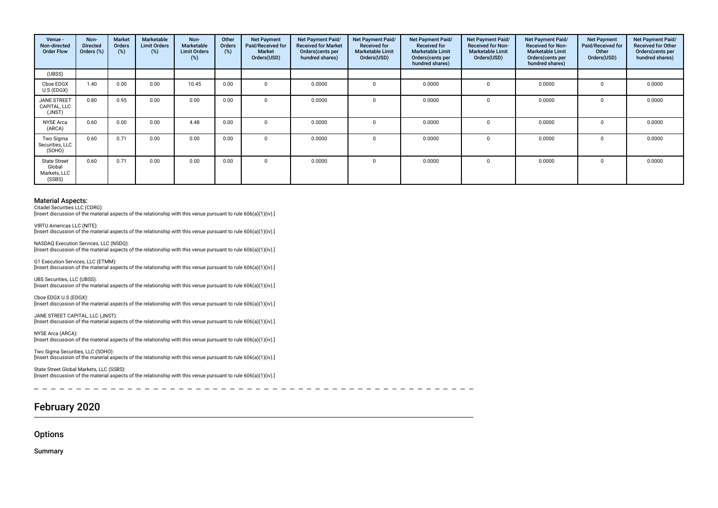| Venue -<br>Non-directed<br><b>Order Flow</b>            | Non-<br><b>Directed</b><br>Orders (%) | <b>Market</b><br><b>Orders</b><br>(%) | Marketable<br><b>Limit Orders</b><br>(%) | Non-<br>Marketable<br><b>Limit Orders</b><br>(%) | Other<br><b>Orders</b><br>(%) | <b>Net Payment</b><br>Paid/Received for<br><b>Market</b><br>Orders(USD) | <b>Net Payment Paid/</b><br><b>Received for Market</b><br>Orders(cents per<br>hundred shares) | Net Payment Paid/<br><b>Received for</b><br><b>Marketable Limit</b><br>Orders(USD) | Net Payment Paid/<br><b>Received for</b><br><b>Marketable Limit</b><br>Orders(cents per<br>hundred shares) | Net Payment Paid/<br><b>Received for Non-</b><br><b>Marketable Limit</b><br>Orders(USD) | Net Payment Paid/<br><b>Received for Non-</b><br><b>Marketable Limit</b><br>Orders(cents per<br>hundred shares) | <b>Net Payment</b><br>Paid/Received for<br>Other<br>Orders(USD) | Net Payment Paid/<br>Received for Other<br>Orders(cents per<br>hundred shares) |
|---------------------------------------------------------|---------------------------------------|---------------------------------------|------------------------------------------|--------------------------------------------------|-------------------------------|-------------------------------------------------------------------------|-----------------------------------------------------------------------------------------------|------------------------------------------------------------------------------------|------------------------------------------------------------------------------------------------------------|-----------------------------------------------------------------------------------------|-----------------------------------------------------------------------------------------------------------------|-----------------------------------------------------------------|--------------------------------------------------------------------------------|
| (UBSS)                                                  |                                       |                                       |                                          |                                                  |                               |                                                                         |                                                                                               |                                                                                    |                                                                                                            |                                                                                         |                                                                                                                 |                                                                 |                                                                                |
| Cboe EDGX<br>U.S (EDGX)                                 | 1.40                                  | 0.00                                  | 0.00                                     | 10.45                                            | 0.00                          | $\Omega$                                                                | 0.0000                                                                                        |                                                                                    | 0.0000                                                                                                     |                                                                                         | 0.0000                                                                                                          | $\Omega$                                                        | 0.0000                                                                         |
| <b>JANE STREET</b><br>CAPITAL, LLC<br>(JNST)            | 0.80                                  | 0.95                                  | 0.00                                     | 0.00                                             | 0.00                          | $\Omega$                                                                | 0.0000                                                                                        |                                                                                    | 0.0000                                                                                                     | $\Omega$                                                                                | 0.0000                                                                                                          | $\Omega$                                                        | 0.0000                                                                         |
| <b>NYSE Arca</b><br>(ARCA)                              | 0.60                                  | 0.00                                  | 0.00                                     | 4.48                                             | 0.00                          | $\Omega$                                                                | 0.0000                                                                                        |                                                                                    | 0.0000                                                                                                     |                                                                                         | 0.0000                                                                                                          | $\Omega$                                                        | 0.0000                                                                         |
| Two Sigma<br>Securities, LLC<br>(SOHO)                  | 0.60                                  | 0.71                                  | 0.00                                     | 0.00                                             | 0.00                          | $\Omega$                                                                | 0.0000                                                                                        |                                                                                    | 0.0000                                                                                                     |                                                                                         | 0.0000                                                                                                          |                                                                 | 0.0000                                                                         |
| <b>State Street</b><br>Global<br>Markets, LLC<br>(SSBS) | 0.60                                  | 0.71                                  | 0.00                                     | 0.00                                             | 0.00                          | $\Omega$                                                                | 0.0000                                                                                        |                                                                                    | 0.0000                                                                                                     |                                                                                         | 0.0000                                                                                                          | $\Omega$                                                        | 0.0000                                                                         |

Citadel Securities LLC (CDRG):

VIRTU Americas LLC (NITE):

[Insert discussion of the material aspects of the relationship with this venue pursuant to rule 606(a)(1)(iv).]

[Insert discussion of the material aspects of the relationship with this venue pursuant to rule 606(a)(1)(iv).] NASDAQ Execution Services, LLC (NSDQ):

[Insert discussion of the material aspects of the relationship with this venue pursuant to rule 606(a)(1)(iv).]

G1 Execution Services, LLC (ETMM): [Insert discussion of the material aspects of the relationship with this venue pursuant to rule 606(a)(1)(iv).]

UBS Securities, LLC (UBSS): [Insert discussion of the material aspects of the relationship with this venue pursuant to rule 606(a)(1)(iv).]

Cboe EDGX U.S (EDGX): [Insert discussion of the material aspects of the relationship with this venue pursuant to rule 606(a)(1)(iv).]

JANE STREET CAPITAL, LLC (JNST): [Insert discussion of the material aspects of the relationship with this venue pursuant to rule 606(a)(1)(iv).]

NYSE Arca (ARCA): [Insert discussion of the material aspects of the relationship with this venue pursuant to rule 606(a)(1)(iv).]

Two Sigma Securities, LLC (SOHO): [Insert discussion of the material aspects of the relationship with this venue pursuant to rule 606(a)(1)(iv).]

State Street Global Markets, LLC (SSBS): [Insert discussion of the material aspects of the relationship with this venue pursuant to rule 606(a)(1)(iv).]

# February 2020

**Options** 

Summary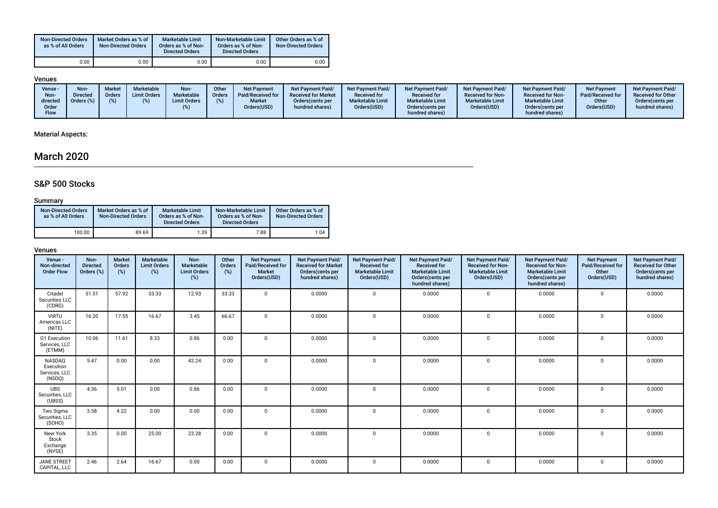| <b>Non-Directed Orders</b><br>as % of All Orders | Market Orders as % of<br><b>Non-Directed Orders</b> | <b>Marketable Limit</b><br>Orders as % of Non-<br><b>Directed Orders</b> | Non-Marketable Limit<br>Orders as % of Non-<br><b>Directed Orders</b> | Other Orders as % of<br><b>Non-Directed Orders</b> |
|--------------------------------------------------|-----------------------------------------------------|--------------------------------------------------------------------------|-----------------------------------------------------------------------|----------------------------------------------------|
| 0.00                                             | 0.00                                                | 0.00                                                                     | 0.00                                                                  | 0.00                                               |

# Venues

# Material Aspects:

# March 2020

# S&P 500 Stocks

### Summary

| <b>Non-Directed Orders</b><br>as % of All Orders | Market Orders as % of<br><b>Non-Directed Orders</b> | <b>Marketable Limit</b><br>Orders as % of Non-<br><b>Directed Orders</b> | Non-Marketable Limit<br>Orders as % of Non-<br><b>Directed Orders</b> | Other Orders as % of<br><b>Non-Directed Orders</b> |
|--------------------------------------------------|-----------------------------------------------------|--------------------------------------------------------------------------|-----------------------------------------------------------------------|----------------------------------------------------|
| 100.00                                           | 89.69                                               | 1.39                                                                     | 7.88                                                                  | 1.04                                               |

| Venue -<br>Non-directed<br><b>Order Flow</b>   | Non-<br><b>Directed</b><br>Orders (%) | <b>Market</b><br>Orders<br>(%) | Marketable<br><b>Limit Orders</b><br>(%) | Non-<br>Marketable<br><b>Limit Orders</b><br>(%) | Other<br>Orders<br>(%) | <b>Net Payment</b><br>Paid/Received for<br><b>Market</b><br>Orders(USD) | Net Payment Paid/<br><b>Received for Market</b><br>Orders(cents per<br>hundred shares) | Net Payment Paid/<br><b>Received for</b><br><b>Marketable Limit</b><br>Orders(USD) | Net Payment Paid/<br><b>Received for</b><br><b>Marketable Limit</b><br>Orders(cents per<br>hundred shares) | <b>Net Payment Paid/</b><br><b>Received for Non-</b><br><b>Marketable Limit</b><br>Orders(USD) | <b>Net Payment Paid/</b><br><b>Received for Non-</b><br><b>Marketable Limit</b><br>Orders(cents per<br>hundred shares) | <b>Net Payment</b><br>Paid/Received for<br>Other<br>Orders(USD) | Net Payment Paid/<br><b>Received for Other</b><br>Orders(cents per<br>hundred shares) |
|------------------------------------------------|---------------------------------------|--------------------------------|------------------------------------------|--------------------------------------------------|------------------------|-------------------------------------------------------------------------|----------------------------------------------------------------------------------------|------------------------------------------------------------------------------------|------------------------------------------------------------------------------------------------------------|------------------------------------------------------------------------------------------------|------------------------------------------------------------------------------------------------------------------------|-----------------------------------------------------------------|---------------------------------------------------------------------------------------|
| Citadel<br>Securities LLC<br>(CDRG)            | 51.51                                 | 57.92                          | 33.33                                    | 12.93                                            | 33.33                  | $\mathbf{0}$                                                            | 0.0000                                                                                 | $\Omega$                                                                           | 0.0000                                                                                                     | $\mathbf 0$                                                                                    | 0.0000                                                                                                                 | $\Omega$                                                        | 0.0000                                                                                |
| <b>VIRTU</b><br>Americas LLC<br>(NITE)         | 16.20                                 | 17.55                          | 16.67                                    | 3.45                                             | 66.67                  | $\mathbf{0}$                                                            | 0.0000                                                                                 | $\Omega$                                                                           | 0.0000                                                                                                     | $\mathbf{0}$                                                                                   | 0.0000                                                                                                                 | $\Omega$                                                        | 0.0000                                                                                |
| G1 Execution<br>Services, LLC<br>(ETMM)        | 10.06                                 | 11.61                          | 8.33                                     | 0.86                                             | 0.00                   | $\Omega$                                                                | 0.0000                                                                                 | $\Omega$                                                                           | 0.0000                                                                                                     | $\mathbf 0$                                                                                    | 0.0000                                                                                                                 | $\Omega$                                                        | 0.0000                                                                                |
| NASDAQ<br>Execution<br>Services, LLC<br>(NSDQ) | 5.47                                  | 0.00                           | 0.00                                     | 42.24                                            | 0.00                   | $\mathbf{0}$                                                            | 0.0000                                                                                 | $\Omega$                                                                           | 0.0000                                                                                                     | 0                                                                                              | 0.0000                                                                                                                 | $\Omega$                                                        | 0.0000                                                                                |
| <b>UBS</b><br>Securities, LLC<br>(UBSS)        | 4.36                                  | 5.01                           | 0.00                                     | 0.86                                             | 0.00                   | $\Omega$                                                                | 0.0000                                                                                 | $\Omega$                                                                           | 0.0000                                                                                                     | $\Omega$                                                                                       | 0.0000                                                                                                                 | $\Omega$                                                        | 0.0000                                                                                |
| Two Sigma<br>Securities, LLC<br>(SOHO)         | 3.58                                  | 4.22                           | 0.00                                     | 0.00                                             | 0.00                   | $\mathbf{0}$                                                            | 0.0000                                                                                 | $\Omega$                                                                           | 0.0000                                                                                                     | 0                                                                                              | 0.0000                                                                                                                 | $\mathbf 0$                                                     | 0.0000                                                                                |
| New York<br>Stock<br>Exchange<br>(NYSE)        | 3.35                                  | 0.00                           | 25.00                                    | 23.28                                            | 0.00                   | $\mathbf{0}$                                                            | 0.0000                                                                                 | $\Omega$                                                                           | 0.0000                                                                                                     | $\mathbf 0$                                                                                    | 0.0000                                                                                                                 | 0                                                               | 0.0000                                                                                |
| <b>JANE STREET</b><br>CAPITAL, LLC             | 2.46                                  | 2.64                           | 16.67                                    | 0.00                                             | 0.00                   | $\mathbf{0}$                                                            | 0.0000                                                                                 | $\Omega$                                                                           | 0.0000                                                                                                     | $\mathbf{0}$                                                                                   | 0.0000                                                                                                                 | 0                                                               | 0.0000                                                                                |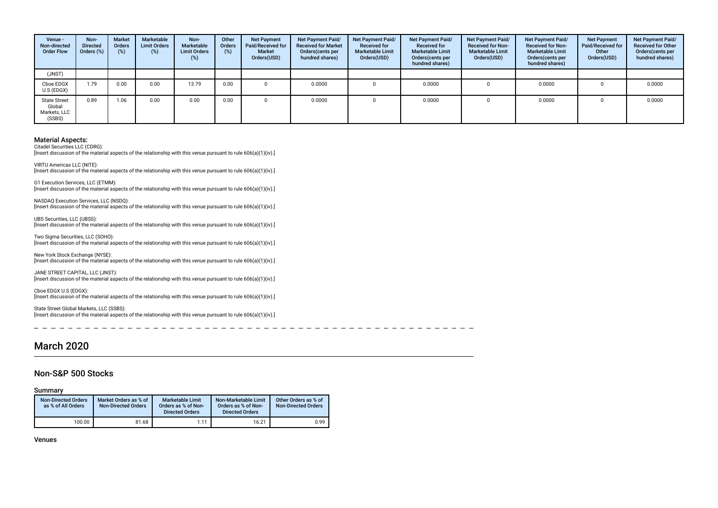| Venue -<br>Non-directed<br><b>Order Flow</b>            | Non-<br><b>Directed</b><br>Orders (%) | Market<br><b>Orders</b><br>$(\%)$ | Marketable<br><b>Limit Orders</b><br>(%) | Non-<br>Marketable<br><b>Limit Orders</b><br>$(\%)$ | Other<br>Orders<br>(%) | <b>Net Payment</b><br>Paid/Received for<br><b>Market</b><br>Orders(USD) | <b>Net Payment Paid/</b><br><b>Received for Market</b><br>Orders (cents per<br>hundred shares) | Net Payment Paid/<br><b>Received for</b><br><b>Marketable Limit</b><br>Orders(USD) | Net Payment Paid/<br><b>Received for</b><br><b>Marketable Limit</b><br>Orders(cents per<br>hundred shares) | Net Payment Paid/<br><b>Received for Non-</b><br><b>Marketable Limit</b><br>Orders(USD) | <b>Net Payment Paid/</b><br><b>Received for Non-</b><br><b>Marketable Limit</b><br>Orders (cents per<br>hundred shares) | <b>Net Payment</b><br>Paid/Received for<br>Other<br>Orders(USD) | Net Payment Paid/<br><b>Received for Other</b><br>Orders(cents per<br>hundred shares) |
|---------------------------------------------------------|---------------------------------------|-----------------------------------|------------------------------------------|-----------------------------------------------------|------------------------|-------------------------------------------------------------------------|------------------------------------------------------------------------------------------------|------------------------------------------------------------------------------------|------------------------------------------------------------------------------------------------------------|-----------------------------------------------------------------------------------------|-------------------------------------------------------------------------------------------------------------------------|-----------------------------------------------------------------|---------------------------------------------------------------------------------------|
| (JNST)                                                  |                                       |                                   |                                          |                                                     |                        |                                                                         |                                                                                                |                                                                                    |                                                                                                            |                                                                                         |                                                                                                                         |                                                                 |                                                                                       |
| Cboe EDGX<br>U.S (EDGX)                                 | 1.79                                  | 0.00                              | 0.00                                     | 13.79                                               | 0.00                   |                                                                         | 0.0000                                                                                         |                                                                                    | 0.0000                                                                                                     | 0                                                                                       | 0.0000                                                                                                                  |                                                                 | 0.0000                                                                                |
| <b>State Street</b><br>Global<br>Markets, LLC<br>(SSBS) | 0.89                                  | 1.06                              | 0.00                                     | 0.00                                                | 0.00                   |                                                                         | 0.0000                                                                                         |                                                                                    | 0.0000                                                                                                     |                                                                                         | 0.0000                                                                                                                  |                                                                 | 0.0000                                                                                |

Citadel Securities LLC (CDRG):

Insert discussion of the material aspects of the relationship with this venue pursuant to rule 606(a)(1)(iv).]

VIRTU Americas LLC (NITE): [Insert discussion of the material aspects of the relationship with this venue pursuant to rule 606(a)(1)(iv).]

G1 Execution Services, LLC (ETMM): [Insert discussion of the material aspects of the relationship with this venue pursuant to rule 606(a)(1)(iv).]

NASDAQ Execution Services, LLC (NSDQ): [Insert discussion of the material aspects of the relationship with this venue pursuant to rule 606(a)(1)(iv).]

UBS Securities, LLC (UBSS): [Insert discussion of the material aspects of the relationship with this venue pursuant to rule 606(a)(1)(iv).]

Two Sigma Securities, LLC (SOHO): [Insert discussion of the material aspects of the relationship with this venue pursuant to rule 606(a)(1)(iv).]

New York Stock Exchange (NYSE): [Insert discussion of the material aspects of the relationship with this venue pursuant to rule 606(a)(1)(iv).]

JANE STREET CAPITAL, LLC (JNST): [Insert discussion of the material aspects of the relationship with this venue pursuant to rule 606(a)(1)(iv).]

Cboe EDGX U.S (EDGX): [Insert discussion of the material aspects of the relationship with this venue pursuant to rule 606(a)(1)(iv).]

State Street Global Markets, LLC (SSBS): [Insert discussion of the material aspects of the relationship with this venue pursuant to rule 606(a)(1)(iv).]

**1990** 

# March 2020

#### Non-S&P 500 Stocks

Summary

| <b>Non-Directed Orders</b><br>as % of All Orders | Market Orders as % of<br><b>Non-Directed Orders</b> | <b>Marketable Limit</b><br>Orders as % of Non-<br><b>Directed Orders</b> | Non-Marketable Limit<br>Orders as % of Non-<br><b>Directed Orders</b> | Other Orders as % of<br><b>Non-Directed Orders</b> |
|--------------------------------------------------|-----------------------------------------------------|--------------------------------------------------------------------------|-----------------------------------------------------------------------|----------------------------------------------------|
| 100.00                                           | 81.68                                               | 1.11                                                                     | 16.21                                                                 | 0.99                                               |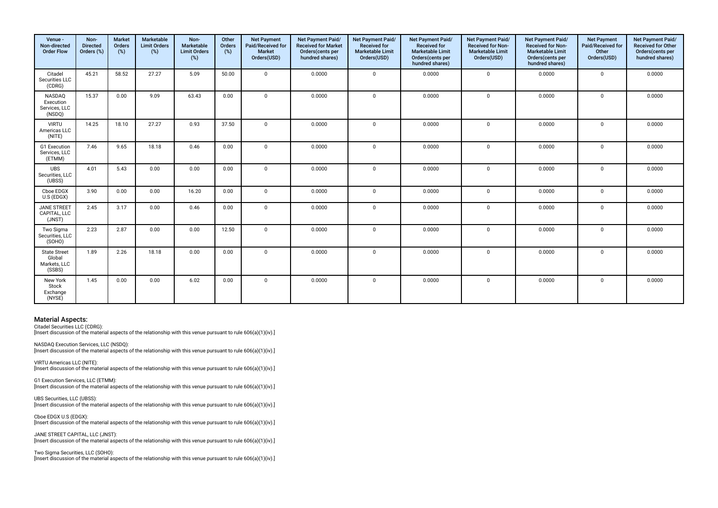| Venue -<br>Non-directed<br><b>Order Flow</b>            | Non-<br><b>Directed</b><br>Orders (%) | <b>Market</b><br>Orders<br>(%) | Marketable<br><b>Limit Orders</b><br>(%) | Non-<br>Marketable<br><b>Limit Orders</b><br>(%) | Other<br>Orders<br>$(\%)$ | <b>Net Payment</b><br>Paid/Received for<br>Market<br>Orders(USD) | Net Payment Paid/<br><b>Received for Market</b><br>Orders(cents per<br>hundred shares) | Net Payment Paid/<br>Received for<br><b>Marketable Limit</b><br>Orders(USD) | Net Payment Paid/<br>Received for<br><b>Marketable Limit</b><br>Orders(cents per<br>hundred shares) | Net Payment Paid/<br>Received for Non-<br><b>Marketable Limit</b><br>Orders(USD) | Net Payment Paid/<br><b>Received for Non-</b><br><b>Marketable Limit</b><br>Orders(cents per<br>hundred shares) | <b>Net Payment</b><br>Paid/Received for<br>Other<br>Orders(USD) | Net Payment Paid/<br>Received for Other<br>Orders(cents per<br>hundred shares) |
|---------------------------------------------------------|---------------------------------------|--------------------------------|------------------------------------------|--------------------------------------------------|---------------------------|------------------------------------------------------------------|----------------------------------------------------------------------------------------|-----------------------------------------------------------------------------|-----------------------------------------------------------------------------------------------------|----------------------------------------------------------------------------------|-----------------------------------------------------------------------------------------------------------------|-----------------------------------------------------------------|--------------------------------------------------------------------------------|
| Citadel<br>Securities LLC<br>(CDRG)                     | 45.21                                 | 58.52                          | 27.27                                    | 5.09                                             | 50.00                     | $\mathbf{0}$                                                     | 0.0000                                                                                 | $\Omega$                                                                    | 0.0000                                                                                              | $\mathbf 0$                                                                      | 0.0000                                                                                                          | $\mathbf 0$                                                     | 0.0000                                                                         |
| NASDAQ<br>Execution<br>Services, LLC<br>(NSDQ)          | 15.37                                 | 0.00                           | 9.09                                     | 63.43                                            | 0.00                      | $\mathbf{0}$                                                     | 0.0000                                                                                 | $\Omega$                                                                    | 0.0000                                                                                              | $\mathbf 0$                                                                      | 0.0000                                                                                                          | $\mathbf 0$                                                     | 0.0000                                                                         |
| <b>VIRTU</b><br>Americas LLC<br>(NITE)                  | 14.25                                 | 18.10                          | 27.27                                    | 0.93                                             | 37.50                     | $\mathbf{0}$                                                     | 0.0000                                                                                 | $\Omega$                                                                    | 0.0000                                                                                              | $\mathbf 0$                                                                      | 0.0000                                                                                                          | $\mathbf 0$                                                     | 0.0000                                                                         |
| G1 Execution<br>Services, LLC<br>(ETMM)                 | 7.46                                  | 9.65                           | 18.18                                    | 0.46                                             | 0.00                      | $\mathbf{0}$                                                     | 0.0000                                                                                 | $\mathbf 0$                                                                 | 0.0000                                                                                              | $\mathbf 0$                                                                      | 0.0000                                                                                                          | $\mathbf 0$                                                     | 0.0000                                                                         |
| <b>UBS</b><br>Securities, LLC<br>(UBSS)                 | 4.01                                  | 5.43                           | 0.00                                     | 0.00                                             | 0.00                      | $\mathbf 0$                                                      | 0.0000                                                                                 | $\mathbf 0$                                                                 | 0.0000                                                                                              | 0                                                                                | 0.0000                                                                                                          | $\mathbf 0$                                                     | 0.0000                                                                         |
| Cboe EDGX<br>U.S (EDGX)                                 | 3.90                                  | 0.00                           | 0.00                                     | 16.20                                            | 0.00                      | $\mathbf 0$                                                      | 0.0000                                                                                 | $\mathbf 0$                                                                 | 0.0000                                                                                              | 0                                                                                | 0.0000                                                                                                          | $\mathbf 0$                                                     | 0.0000                                                                         |
| <b>JANE STREET</b><br>CAPITAL. LLC<br>(JNST)            | 2.45                                  | 3.17                           | 0.00                                     | 0.46                                             | 0.00                      | $\mathbf{0}$                                                     | 0.0000                                                                                 | $\mathbf 0$                                                                 | 0.0000                                                                                              | 0                                                                                | 0.0000                                                                                                          | $\mathbf 0$                                                     | 0.0000                                                                         |
| Two Sigma<br>Securities, LLC<br>(SOHO)                  | 2.23                                  | 2.87                           | 0.00                                     | 0.00                                             | 12.50                     | $\mathbf{0}$                                                     | 0.0000                                                                                 | $\Omega$                                                                    | 0.0000                                                                                              | 0                                                                                | 0.0000                                                                                                          | $\mathsf 0$                                                     | 0.0000                                                                         |
| <b>State Street</b><br>Global<br>Markets, LLC<br>(SSBS) | 1.89                                  | 2.26                           | 18.18                                    | 0.00                                             | 0.00                      | $\mathbf 0$                                                      | 0.0000                                                                                 | $\Omega$                                                                    | 0.0000                                                                                              | $\mathbf{0}$                                                                     | 0.0000                                                                                                          | $\mathbf 0$                                                     | 0.0000                                                                         |
| New York<br>Stock<br>Exchange<br>(NYSE)                 | 1.45                                  | 0.00                           | 0.00                                     | 6.02                                             | 0.00                      | $\mathbf 0$                                                      | 0.0000                                                                                 | $\Omega$                                                                    | 0.0000                                                                                              | 0                                                                                | 0.0000                                                                                                          | $\Omega$                                                        | 0.0000                                                                         |

Citadel Securities LLC (CDRG):

[Insert discussion of the material aspects of the relationship with this venue pursuant to rule 606(a)(1)(iv).]

NASDAQ Execution Services, LLC (NSDQ): [Insert discussion of the material aspects of the relationship with this venue pursuant to rule 606(a)(1)(iv).]

VIRTU Americas LLC (NITE): [Insert discussion of the material aspects of the relationship with this venue pursuant to rule 606(a)(1)(iv).]

G1 Execution Services, LLC (ETMM): [Insert discussion of the material aspects of the relationship with this venue pursuant to rule 606(a)(1)(iv).]

UBS Securities, LLC (UBSS): [Insert discussion of the material aspects of the relationship with this venue pursuant to rule 606(a)(1)(iv).]

Cboe EDGX U.S (EDGX): [Insert discussion of the material aspects of the relationship with this venue pursuant to rule 606(a)(1)(iv).]

JANE STREET CAPITAL, LLC (JNST): [Insert discussion of the material aspects of the relationship with this venue pursuant to rule 606(a)(1)(iv).]

Two Sigma Securities, LLC (SOHO):

[Insert discussion of the material aspects of the relationship with this venue pursuant to rule 606(a)(1)(iv).]